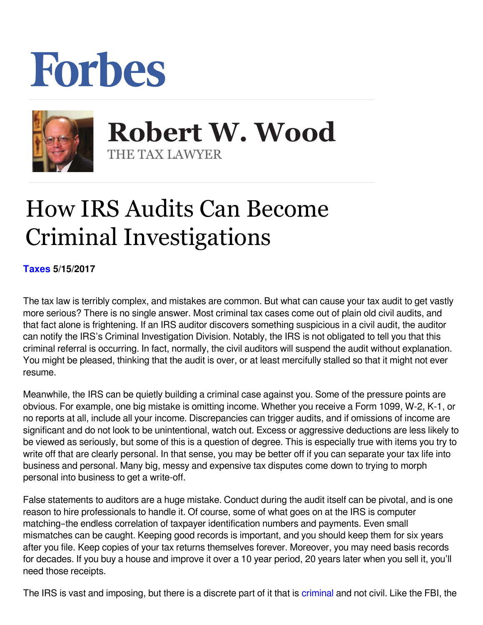## Forbes



 **Robert W. Wood** THE TAX LAWYER

## How IRS Audits Can Become Criminal Investigations

**[Taxes](https://www.forbes.com/taxes) 5/15/2017** 

The tax law is terribly complex, and mistakes are common. But what can cause your tax audit to get vastly more serious? There is no single answer. Most criminal tax cases come out of plain old civil audits, and that fact alone is frightening. If an IRS auditor discovers something suspicious in a civil audit, the auditor can notify the IRS's Criminal Investigation Division. Notably, the IRS is not obligated to tell you that this criminal referral is occurring. In fact, normally, the civil auditors will suspend the audit without explanation. You might be pleased, thinking that the audit is over, or at least mercifully stalled so that it might not ever resume.

Meanwhile, the IRS can be quietly building a criminal case against you. Some of the pressure points are obvious. For example, one big mistake is omitting income. Whether you receive a Form 1099, W-2, K-1, or no reports at all, include all your income. Discrepancies can trigger audits, and if omissions of income are significant and do not look to be unintentional, watch out. Excess or aggressive deductions are less likely to be viewed as seriously, but some of this is a question of degree. This is especially true with items you try to write off that are clearly personal. In that sense, you may be better off if you can separate your tax life into business and personal. Many big, messy and expensive tax disputes come down to trying to morph personal into business to get a write-off.

False statements to auditors are a huge mistake. Conduct during the audit itself can be pivotal, and is one reason to hire professionals to handle it. Of course, some of what goes on at the IRS is computer matching–the endless correlation of taxpayer identification numbers and payments. Even small mismatches can be caught. Keeping good records is important, and you should keep them for six years after you file. Keep copies of your tax returns themselves forever. Moreover, you may need basis records for decades. If you buy a house and improve it over a 10 year period, 20 years later when you sell it, you'll need those receipts.

The IRS is vast and imposing, but there is a discrete part of it that is [criminal](http://www.irs.gov/irs/article/0,,id=98398,00.html) and not civil. Like the FBI, the